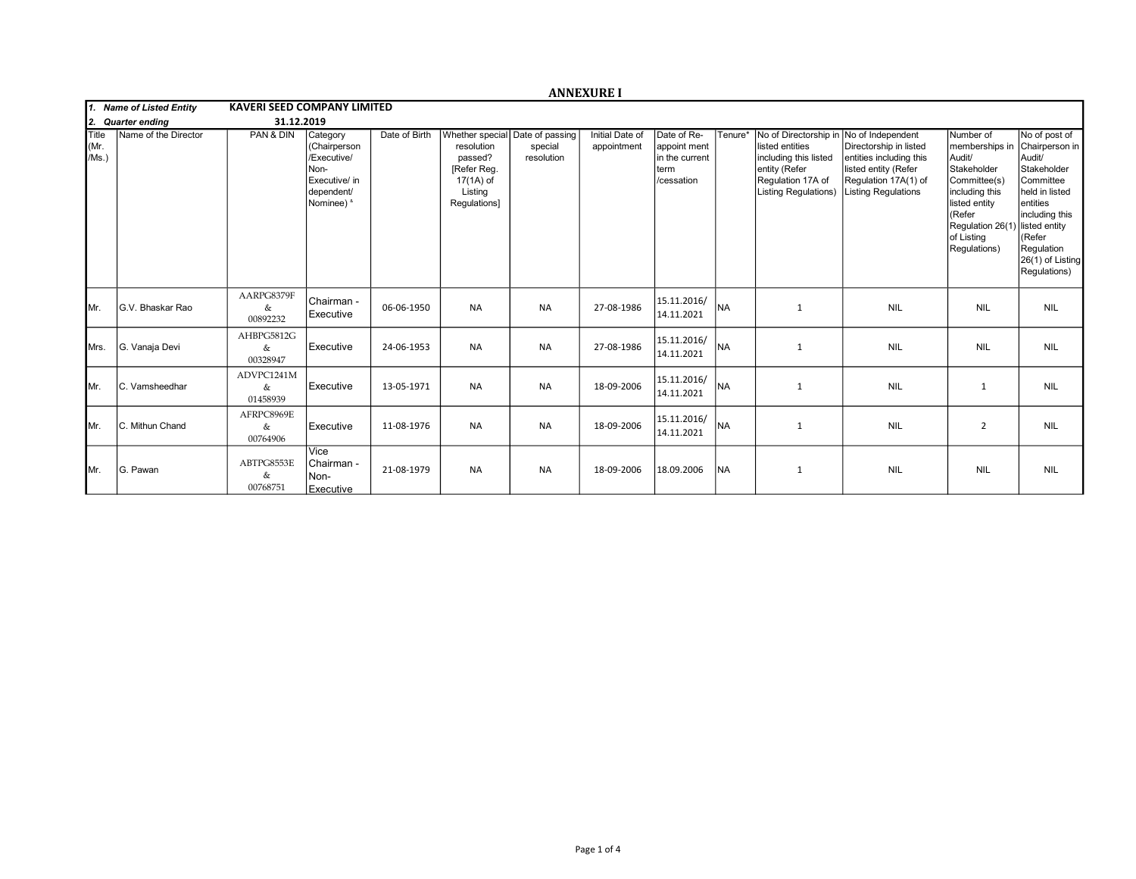|                              |                      |                                    |                                                                                              |               |                                                                              |                                                          | <b>ANNEXURE I</b>              |                                                                     |           |                                                                                                                                        |                                                                                                                                                      |                                                                                                                                                                                   |                                                                                                                                                                                    |
|------------------------------|----------------------|------------------------------------|----------------------------------------------------------------------------------------------|---------------|------------------------------------------------------------------------------|----------------------------------------------------------|--------------------------------|---------------------------------------------------------------------|-----------|----------------------------------------------------------------------------------------------------------------------------------------|------------------------------------------------------------------------------------------------------------------------------------------------------|-----------------------------------------------------------------------------------------------------------------------------------------------------------------------------------|------------------------------------------------------------------------------------------------------------------------------------------------------------------------------------|
| 1. Name of Listed Entity     |                      | <b>KAVERI SEED COMPANY LIMITED</b> |                                                                                              |               |                                                                              |                                                          |                                |                                                                     |           |                                                                                                                                        |                                                                                                                                                      |                                                                                                                                                                                   |                                                                                                                                                                                    |
| 12.<br><b>Quarter ending</b> |                      | 31.12.2019                         |                                                                                              |               |                                                                              |                                                          |                                |                                                                     |           |                                                                                                                                        |                                                                                                                                                      |                                                                                                                                                                                   |                                                                                                                                                                                    |
| <b>Title</b><br>Mr.<br>/Ms.) | Name of the Director | PAN & DIN                          | Category<br>(Chairperson<br>/Executive/<br>Non-<br>Executive/ in<br>dependent/<br>Nominee) & | Date of Birth | resolution<br>passed?<br>[Refer Reg.<br>17(1A) of<br>Listing<br>Regulations] | Whether special Date of passing<br>special<br>resolution | Initial Date of<br>appointment | Date of Re-<br>appoint ment<br>in the current<br>term<br>/cessation | Tenure*   | No of Directorship in<br>listed entities<br>including this listed<br>entity (Refer<br>Regulation 17A of<br><b>Listing Regulations)</b> | No of Independent<br>Directorship in listed<br>entities including this<br>listed entity (Refer<br>Regulation 17A(1) of<br><b>Listing Regulations</b> | Number of<br>memberships in<br>Audit/<br>Stakeholder<br>Committee(s)<br>including this<br>listed entity<br>(Refer<br>Regulation 26(1) listed entity<br>of Listing<br>Regulations) | No of post of<br>Chairperson in<br>Audit/<br>Stakeholder<br>Committee<br>held in listed<br>lentities<br>including this<br>KRefer<br>Regulation<br>26(1) of Listing<br>Regulations) |
| IMr.                         | G.V. Bhaskar Rao     | AARPG8379F<br>&<br>00892232        | Chairman -<br>Executive                                                                      | 06-06-1950    | <b>NA</b>                                                                    | <b>NA</b>                                                | 27-08-1986                     | 15.11.2016/<br>14.11.2021                                           | <b>NA</b> | 1                                                                                                                                      | <b>NIL</b>                                                                                                                                           | <b>NIL</b>                                                                                                                                                                        | <b>NIL</b>                                                                                                                                                                         |
| <b>I</b> Mrs.                | G. Vanaja Devi       | AHBPG5812G<br>&<br>00328947        | Executive                                                                                    | 24-06-1953    | <b>NA</b>                                                                    | <b>NA</b>                                                | 27-08-1986                     | 15.11.2016/<br>14.11.2021                                           | <b>NA</b> | $\mathbf{1}$                                                                                                                           | <b>NIL</b>                                                                                                                                           | <b>NIL</b>                                                                                                                                                                        | <b>NIL</b>                                                                                                                                                                         |
| IMr.                         | C. Vamsheedhar       | ADVPC1241M<br>&<br>01458939        | Executive                                                                                    | 13-05-1971    | <b>NA</b>                                                                    | <b>NA</b>                                                | 18-09-2006                     | 15.11.2016/<br>14.11.2021                                           | Ina       | 1                                                                                                                                      | <b>NIL</b>                                                                                                                                           | $\mathbf{1}$                                                                                                                                                                      | <b>NIL</b>                                                                                                                                                                         |
| IMr.                         | C. Mithun Chand      | AFRPC8969E<br>&<br>00764906        | Executive                                                                                    | 11-08-1976    | <b>NA</b>                                                                    | <b>NA</b>                                                | 18-09-2006                     | 15.11.2016/<br>14.11.2021                                           | Ina       | 1                                                                                                                                      | <b>NIL</b>                                                                                                                                           | $\overline{2}$                                                                                                                                                                    | <b>NIL</b>                                                                                                                                                                         |
| IMr.                         | G. Pawan             | ABTPG8553E<br>&<br>00768751        | Vice<br>l Chairman -<br>Non-<br>Executive                                                    | 21-08-1979    | <b>NA</b>                                                                    | <b>NA</b>                                                | 18-09-2006                     | 18.09.2006                                                          | <b>NA</b> | $\mathbf{1}$                                                                                                                           | <b>NIL</b>                                                                                                                                           | <b>NIL</b>                                                                                                                                                                        | <b>NIL</b>                                                                                                                                                                         |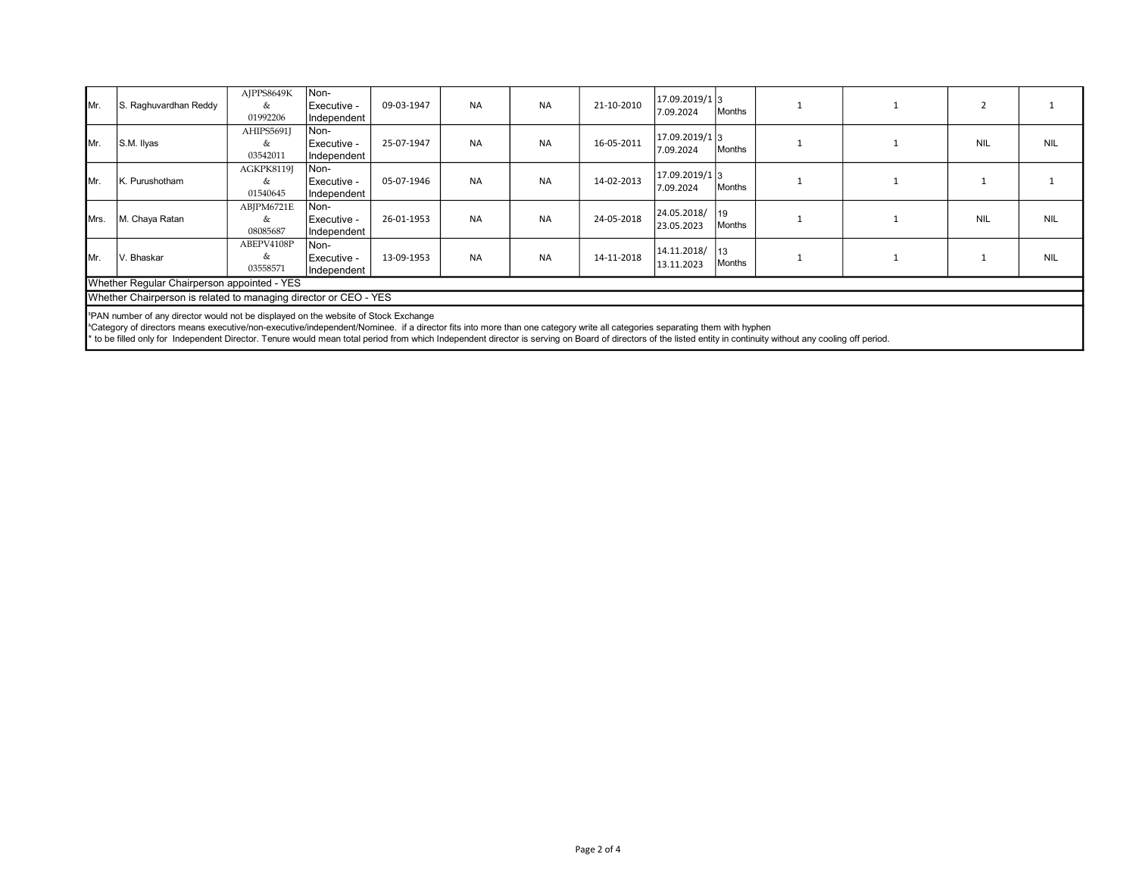| IMr.                                                                                                                                                                                                                                                                                     | S. Raghuvardhan Reddy | AJPPS8649K<br>&<br>01992206 | Non-<br>Executive -<br>Independent | 09-03-1947 | <b>NA</b> | <b>NA</b> | 21-10-2010 | 17.09.2019/1 3<br>7.09.2024 | Months       |  |            |            |
|------------------------------------------------------------------------------------------------------------------------------------------------------------------------------------------------------------------------------------------------------------------------------------------|-----------------------|-----------------------------|------------------------------------|------------|-----------|-----------|------------|-----------------------------|--------------|--|------------|------------|
| IMr.                                                                                                                                                                                                                                                                                     | S.M. Ilyas            | AHIPS5691J<br>&<br>03542011 | Non-<br>Executive -<br>Independent | 25-07-1947 | <b>NA</b> | <b>NA</b> | 16-05-2011 | 17.09.2019/1 3<br>7.09.2024 | Months       |  | <b>NIL</b> | <b>NIL</b> |
| IMr.                                                                                                                                                                                                                                                                                     | K. Purushotham        | AGKPK8119J<br>&<br>01540645 | Non-<br>Executive -<br>Independent | 05-07-1946 | <b>NA</b> | <b>NA</b> | 14-02-2013 | 17.09.2019/1 3<br>7.09.2024 | Months       |  |            |            |
| Mrs.                                                                                                                                                                                                                                                                                     | M. Chaya Ratan        | ABJPM6721E<br>&<br>08085687 | Non-<br>Executive -<br>Independent | 26-01-1953 | <b>NA</b> | <b>NA</b> | 24-05-2018 | 24.05.2018/<br>23.05.2023   | 19<br>Months |  | <b>NIL</b> | <b>NIL</b> |
| IMr.                                                                                                                                                                                                                                                                                     | V. Bhaskar            | ABEPV4108P<br>&<br>03558571 | Non-<br>Executive -<br>Independent | 13-09-1953 | <b>NA</b> | <b>NA</b> | 14-11-2018 | 14.11.2018/<br>13.11.2023   | 13<br>Months |  |            | <b>NIL</b> |
| Whether Regular Chairperson appointed - YES                                                                                                                                                                                                                                              |                       |                             |                                    |            |           |           |            |                             |              |  |            |            |
| Whether Chairperson is related to managing director or CEO - YES                                                                                                                                                                                                                         |                       |                             |                                    |            |           |           |            |                             |              |  |            |            |
| <sup>5</sup> PAN number of any director would not be displayed on the website of Stock Exchange<br><sup>a</sup> Category of directors means executive/non-executive/independent/Nominee. if a director fits into more than one category write all categories separating them with hyphen |                       |                             |                                    |            |           |           |            |                             |              |  |            |            |

\* to be filled only for Independent Director. Tenure would mean total period from which Independent director is serving on Board of directors of the listed entity in continuity without any cooling off period.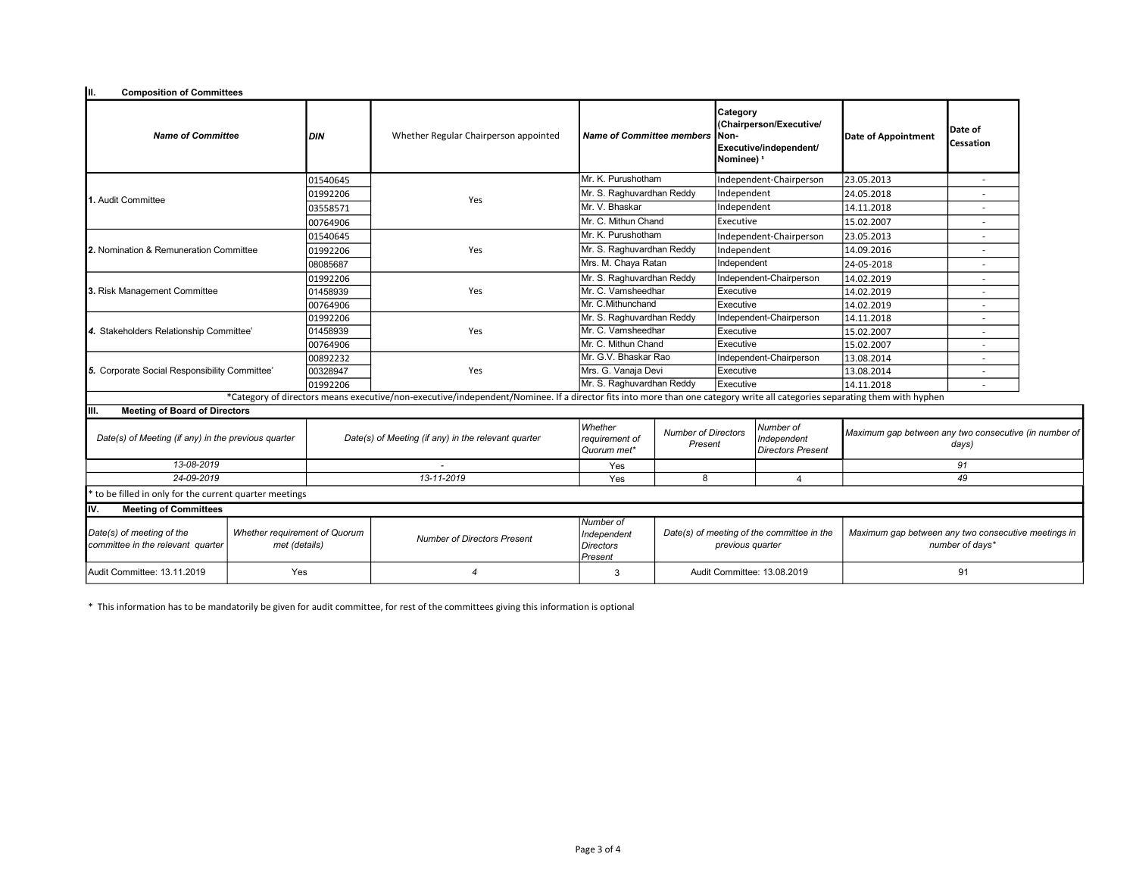| Iш.<br><b>Composition of Committees</b>                                                                          |     |                                                     |                                                                                                                                                                           |                                          |                                       |                                                                                                |                                                      |                                                                        |                          |  |
|------------------------------------------------------------------------------------------------------------------|-----|-----------------------------------------------------|---------------------------------------------------------------------------------------------------------------------------------------------------------------------------|------------------------------------------|---------------------------------------|------------------------------------------------------------------------------------------------|------------------------------------------------------|------------------------------------------------------------------------|--------------------------|--|
| <b>Name of Committee</b>                                                                                         |     | <b>DIN</b>                                          | Whether Regular Chairperson appointed                                                                                                                                     | <b>Name of Committee members</b>         |                                       | Category<br>(Chairperson/Executive/<br>Non-<br>Executive/independent/<br>Nominee) <sup>5</sup> |                                                      | Date of Appointment                                                    | Date of<br>Cessation     |  |
|                                                                                                                  |     | 01540645                                            |                                                                                                                                                                           | Mr. K. Purushotham                       |                                       | Independent-Chairperson                                                                        |                                                      | 23.05.2013                                                             | $\overline{\phantom{a}}$ |  |
| 1. Audit Committee                                                                                               |     | 01992206                                            | Yes                                                                                                                                                                       | Mr. S. Raghuvardhan Reddy                |                                       | Independent                                                                                    |                                                      | 24.05.2018                                                             | $\overline{a}$           |  |
|                                                                                                                  |     | 03558571                                            |                                                                                                                                                                           | Mr. V. Bhaskar                           |                                       | Independent                                                                                    |                                                      | 14.11.2018                                                             |                          |  |
|                                                                                                                  |     | 00764906                                            |                                                                                                                                                                           | Mr. C. Mithun Chand                      |                                       | Executive                                                                                      |                                                      | 15.02.2007                                                             |                          |  |
|                                                                                                                  |     | 01540645                                            |                                                                                                                                                                           | Mr. K. Purushotham                       |                                       | Independent-Chairperson                                                                        |                                                      | 23.05.2013                                                             |                          |  |
| 2. Nomination & Remuneration Committee                                                                           |     | 01992206                                            | Yes                                                                                                                                                                       | Mr. S. Raghuvardhan Reddy                |                                       | Independent                                                                                    |                                                      | 14.09.2016                                                             |                          |  |
|                                                                                                                  |     | 08085687                                            |                                                                                                                                                                           | Mrs. M. Chaya Ratan                      | Independent                           |                                                                                                |                                                      | 24-05-2018                                                             |                          |  |
|                                                                                                                  |     | 01992206                                            |                                                                                                                                                                           | Mr. S. Raghuvardhan Reddy                |                                       |                                                                                                | Independent-Chairperson                              | 14.02.2019                                                             |                          |  |
| 3. Risk Management Committee                                                                                     |     | 01458939                                            | Yes                                                                                                                                                                       | Mr. C. Vamsheedhar                       |                                       | Executive                                                                                      |                                                      | 14.02.2019                                                             |                          |  |
|                                                                                                                  |     | 00764906                                            |                                                                                                                                                                           | Mr. C.Mithunchand                        |                                       | Executive                                                                                      |                                                      | 14.02.2019                                                             |                          |  |
| 4. Stakeholders Relationship Committee'                                                                          |     | 01992206                                            |                                                                                                                                                                           | Mr. S. Raghuvardhan Reddy                |                                       | Independent-Chairperson                                                                        |                                                      | 14.11.2018                                                             |                          |  |
|                                                                                                                  |     | 01458939                                            | Yes                                                                                                                                                                       | Mr. C. Vamsheedhar                       |                                       | Executive                                                                                      |                                                      | 15.02.2007                                                             |                          |  |
|                                                                                                                  |     | 00764906                                            |                                                                                                                                                                           | Mr. C. Mithun Chand                      |                                       |                                                                                                | Executive                                            | 15.02.2007                                                             |                          |  |
|                                                                                                                  |     | 00892232                                            |                                                                                                                                                                           | Mr. G.V. Bhaskar Rao                     |                                       |                                                                                                | Independent-Chairperson                              | 13.08.2014                                                             | $\overline{a}$           |  |
| 5. Corporate Social Responsibility Committee'                                                                    |     | 00328947                                            | Yes                                                                                                                                                                       | Mrs. G. Vanaja Devi                      |                                       | Executive                                                                                      |                                                      | 13.08.2014                                                             |                          |  |
|                                                                                                                  |     | 01992206                                            |                                                                                                                                                                           | Mr. S. Raghuvardhan Reddy                |                                       | Executive                                                                                      |                                                      | 14.11.2018                                                             |                          |  |
|                                                                                                                  |     |                                                     | *Category of directors means executive/non-executive/independent/Nominee. If a director fits into more than one category write all categories separating them with hyphen |                                          |                                       |                                                                                                |                                                      |                                                                        |                          |  |
| <b>Meeting of Board of Directors</b><br>IIII.                                                                    |     |                                                     |                                                                                                                                                                           |                                          |                                       |                                                                                                |                                                      |                                                                        |                          |  |
| Date(s) of Meeting (if any) in the previous quarter                                                              |     | Date(s) of Meeting (if any) in the relevant quarter |                                                                                                                                                                           | Whether<br>requirement of<br>Quorum met* | <b>Number of Directors</b><br>Present |                                                                                                | Number of<br>Independent<br><b>Directors Present</b> | Maximum gap between any two consecutive (in number of                  | days)                    |  |
| 13-08-2019                                                                                                       |     |                                                     |                                                                                                                                                                           | Yes                                      |                                       |                                                                                                |                                                      | 91                                                                     |                          |  |
| 24-09-2019                                                                                                       |     |                                                     | 13-11-2019                                                                                                                                                                | Yes                                      | 8                                     |                                                                                                | $\overline{4}$                                       | 49                                                                     |                          |  |
| to be filled in only for the current quarter meetings                                                            |     |                                                     |                                                                                                                                                                           |                                          |                                       |                                                                                                |                                                      |                                                                        |                          |  |
| IIV.<br><b>Meeting of Committees</b>                                                                             |     |                                                     |                                                                                                                                                                           |                                          |                                       |                                                                                                |                                                      |                                                                        |                          |  |
| Date(s) of meeting of the<br>Whether requirement of Quorum<br>committee in the relevant quarter<br>met (details) |     |                                                     | <b>Number of Directors Present</b>                                                                                                                                        |                                          |                                       | Date(s) of meeting of the committee in the<br>previous quarter                                 |                                                      | Maximum gap between any two consecutive meetings in<br>number of days* |                          |  |
| Audit Committee: 13.11.2019                                                                                      | Yes |                                                     |                                                                                                                                                                           |                                          |                                       | Audit Committee: 13.08.2019                                                                    |                                                      | 91                                                                     |                          |  |

\* This information has to be mandatorily be given for audit committee, for rest of the committees giving this information is optional